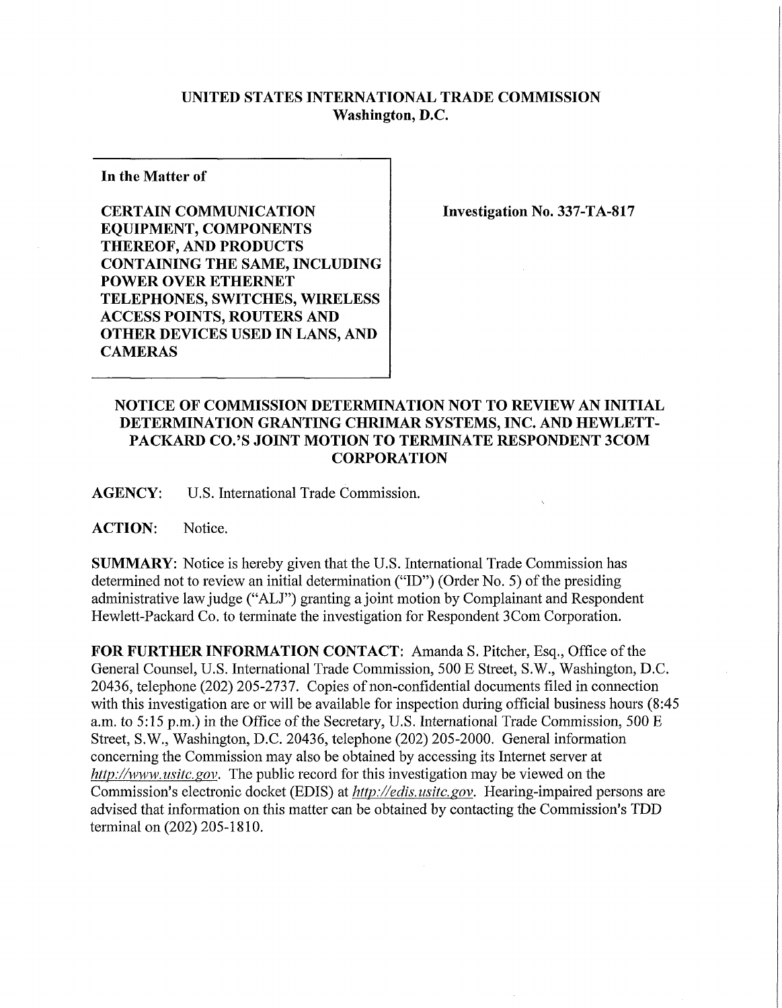## **UNITED STATES INTERNATIONAL TRADE COMMISSION Washington, D.C.**

**In the Matter of** 

**CERTAIN COMMUNICATION EQUIPMENT, COMPONENTS THEREOF, AND PRODUCTS CONTAINING THE SAME, INCLUDING POWER OVER ETHERNET TELEPHONES, SWITCHES, WIRELESS ACCESS POINTS, ROUTERS AND OTHER DEVICES USED IN LANS, AND CAMERAS** 

**Investigation No. 337-TA-817** 

## **NOTICE OF COMMISSION DETERMINATION NOT TO REVIEW AN INITIAL DETERMINATION GRANTING CHRIMAR SYSTEMS, INC. AND HEWLETT-PACKARD CO.'S JOINT MOTION TO TERMINATE RESPONDENT 3COM CORPORATION**

**AGENCY:** U.S. International Trade Commission.

**ACTION:** Notice.

**SUMMARY:** Notice is hereby given that the U.S. International Trade Commission has determined not to review an initial determination ("ID") (Order No. 5) of the presiding administrative law judge ("ALJ") granting a joint motion by Complainant and Respondent Hewlett-Packard Co. to terminate the investigation for Respondent 3Com Corporation.

FOR FURTHER INFORMATION CONTACT: Amanda S. Pitcher, Esq., Office of the General Counsel, U.S. International Trade Commission, 500 E Street, S.W., Washington, D.C. 20436, telephone (202) 205-2737. Copies of non-confidential documents filed in connection with this investigation are or will be available for inspection during official business hours (8:45 a.m. to 5:15 p.m.) in the Office of the Secretary, U.S. International Trade Commission, 500 E Street, S.W., Washington, D.C. 20436, telephone (202) 205-2000. General information concerning the Commission may also be obtained by accessing its Internet server at *http://www. usitc. gov.* The public record for this investigation may be viewed on the Commission's electronic docket (EDIS) at *http://edis. usitc.gov.* Hearing-impaired persons are advised that information on this matter can be obtained by contacting the Commission's TDD terminal on (202) 205-1810.